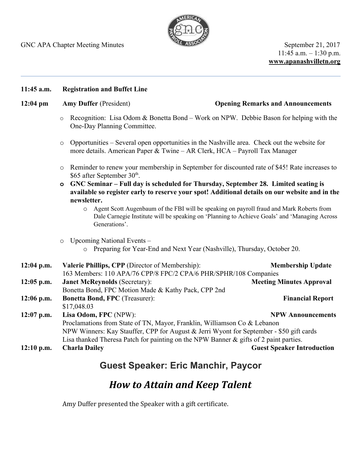GNC APA Chapter Meeting Minutes September 21, 2017



 $11:45$  a.m.  $-1:30$  p.m. **www.apanashvilletn.org**

### **12:04 pm Amy Duffer** (President) **Opening Remarks and Announcements**

- o Recognition: Lisa Odom & Bonetta Bond Work on NPW. Debbie Bason for helping with the One-Day Planning Committee.
- o Opportunities Several open opportunities in the Nashville area. Check out the website for more details. American Paper & Twine – AR Clerk, HCA – Payroll Tax Manager
- o Reminder to renew your membership in September for discounted rate of \$45! Rate increases to \$65 after September 30<sup>th</sup>.
- **o GNC Seminar – Full day is scheduled for Thursday, September 28. Limited seating is available so register early to reserve your spot! Additional details on our website and in the newsletter.**
	- o Agent Scott Augenbaum of the FBI will be speaking on payroll fraud and Mark Roberts from Dale Carnegie Institute will be speaking on 'Planning to Achieve Goals' and 'Managing Across Generations'.
- o Upcoming National Events
	- o Preparing for Year-End and Next Year (Nashville), Thursday, October 20.

| $12:04$ p.m. | Valerie Phillips, CPP (Director of Membership):                                         | <b>Membership Update</b>          |
|--------------|-----------------------------------------------------------------------------------------|-----------------------------------|
|              | 163 Members: 110 APA/76 CPP/8 FPC/2 CPA/6 PHR/SPHR/108 Companies                        |                                   |
| $12:05$ p.m. | <b>Janet McReynolds (Secretary):</b>                                                    | <b>Meeting Minutes Approval</b>   |
|              | Bonetta Bond, FPC Motion Made & Kathy Pack, CPP 2nd                                     |                                   |
| $12:06$ p.m. | <b>Bonetta Bond, FPC</b> (Treasurer):                                                   | <b>Financial Report</b>           |
|              | \$17,048.03                                                                             |                                   |
| $12:07$ p.m. | Lisa Odom, FPC (NPW):                                                                   | <b>NPW Announcements</b>          |
|              | Proclamations from State of TN, Mayor, Franklin, Williamson Co & Lebanon                |                                   |
|              | NPW Winners: Kay Stauffer, CPP for August & Jerri Wyont for September - \$50 gift cards |                                   |
|              | Lisa thanked Theresa Patch for painting on the NPW Banner & gifts of 2 paint parties.   |                                   |
| $12:10$ p.m. | <b>Charla Dailey</b>                                                                    | <b>Guest Speaker Introduction</b> |

# **Guest Speaker: Eric Manchir, Paycor**

# *How to Attain and Keep Talent*

Amy Duffer presented the Speaker with a gift certificate.